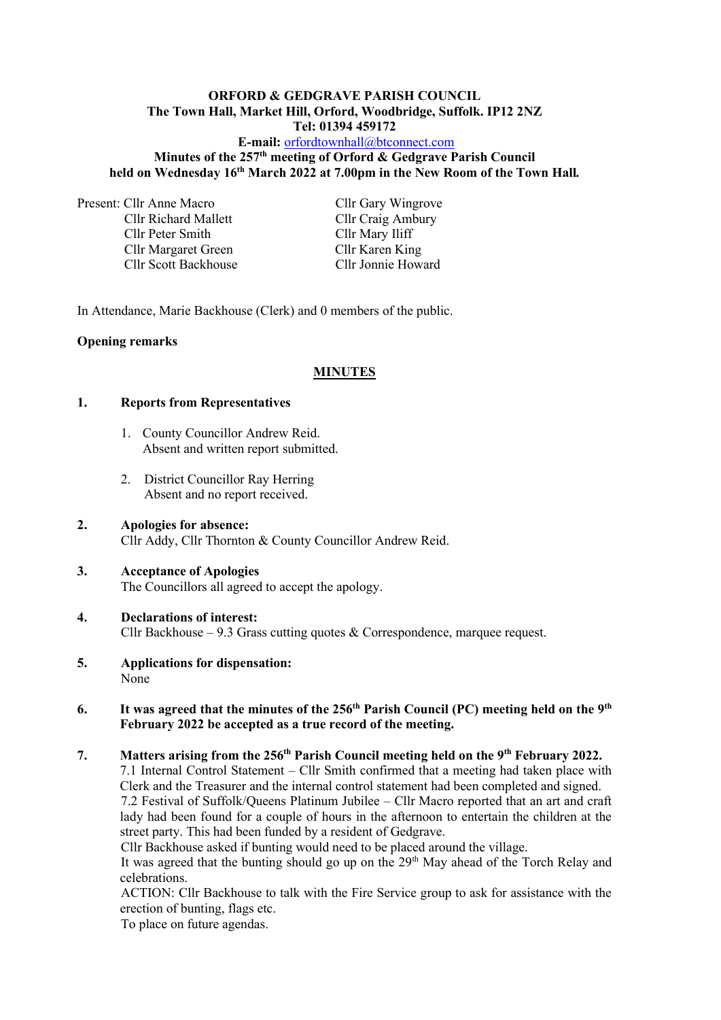### **ORFORD & GEDGRAVE PARISH COUNCIL The Town Hall, Market Hill, Orford, Woodbridge, Suffolk. IP12 2NZ Tel: 01394 459172**

## **E-mail:** [orfordtownhall@btconnect.com](mailto:orfordtownhall@btconnect.com) **Minutes of the 257 th meeting of Orford & Gedgrave Parish Council held on Wednesday 16th March 2022 at 7.00pm in the New Room of the Town Hall***.*

Present: Cllr Anne Macro Cllr Gary Wingrove

Cllr Peter Smith Cllr Mary Iliff Cllr Margaret Green Cllr Karen King<br>
Cllr Scott Backhouse Cllr Jonnie Howard Cllr Scott Backhouse

Cllr Richard Mallett Cllr Craig Ambury

In Attendance, Marie Backhouse (Clerk) and 0 members of the public.

## **Opening remarks**

## **MINUTES**

## **1. Reports from Representatives**

- 1. County Councillor Andrew Reid. Absent and written report submitted.
- 2. District Councillor Ray Herring Absent and no report received.
- **2. Apologies for absence:** Cllr Addy, Cllr Thornton & County Councillor Andrew Reid.
- **3. Acceptance of Apologies** The Councillors all agreed to accept the apology.

## **4. Declarations of interest:** Cllr Backhouse – 9.3 Grass cutting quotes  $\&$  Correspondence, marquee request.

**5. Applications for dispensation:** None

## **6.** It was agreed that the minutes of the 256<sup>th</sup> Parish Council (PC) meeting held on the 9<sup>th</sup> **February 2022 be accepted as a true record of the meeting.**

# **7. Matters arising from the 256 th Parish Council meeting held on the 9 th February 2022.** 7.1 Internal Control Statement – Cllr Smith confirmed that a meeting had taken place with Clerk and the Treasurer and the internal control statement had been completed and signed. 7.2 Festival of Suffolk/Queens Platinum Jubilee – Cllr Macro reported that an art and craft lady had been found for a couple of hours in the afternoon to entertain the children at the street party. This had been funded by a resident of Gedgrave.

Cllr Backhouse asked if bunting would need to be placed around the village.

It was agreed that the bunting should go up on the  $29<sup>th</sup>$  May ahead of the Torch Relay and celebrations.

ACTION: Cllr Backhouse to talk with the Fire Service group to ask for assistance with the erection of bunting, flags etc.

To place on future agendas.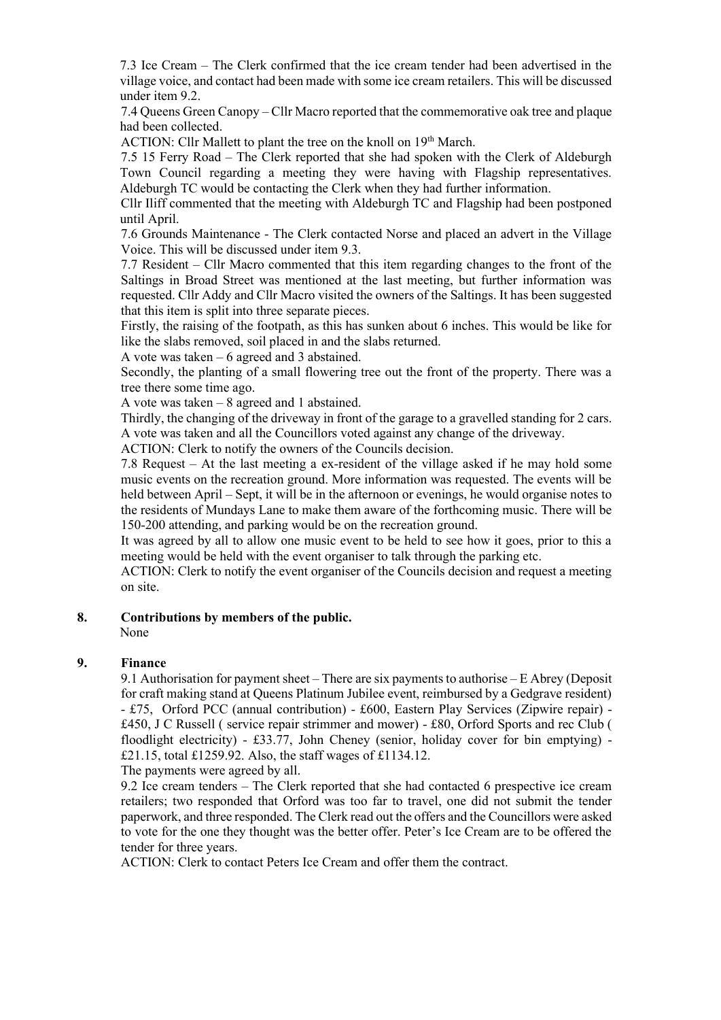7.3 Ice Cream – The Clerk confirmed that the ice cream tender had been advertised in the village voice, and contact had been made with some ice cream retailers. This will be discussed under item 9.2.

7.4 Queens Green Canopy – Cllr Macro reported that the commemorative oak tree and plaque had been collected.

ACTION: Cllr Mallett to plant the tree on the knoll on 19<sup>th</sup> March.

7.5 15 Ferry Road – The Clerk reported that she had spoken with the Clerk of Aldeburgh Town Council regarding a meeting they were having with Flagship representatives. Aldeburgh TC would be contacting the Clerk when they had further information.

Cllr Iliff commented that the meeting with Aldeburgh TC and Flagship had been postponed until April.

7.6 Grounds Maintenance - The Clerk contacted Norse and placed an advert in the Village Voice. This will be discussed under item 9.3.

7.7 Resident – Cllr Macro commented that this item regarding changes to the front of the Saltings in Broad Street was mentioned at the last meeting, but further information was requested. Cllr Addy and Cllr Macro visited the owners of the Saltings. It has been suggested that this item is split into three separate pieces.

Firstly, the raising of the footpath, as this has sunken about 6 inches. This would be like for like the slabs removed, soil placed in and the slabs returned.

A vote was taken – 6 agreed and 3 abstained.

Secondly, the planting of a small flowering tree out the front of the property. There was a tree there some time ago.

A vote was taken – 8 agreed and 1 abstained.

Thirdly, the changing of the driveway in front of the garage to a gravelled standing for 2 cars. A vote was taken and all the Councillors voted against any change of the driveway.

ACTION: Clerk to notify the owners of the Councils decision.

7.8 Request – At the last meeting a ex-resident of the village asked if he may hold some music events on the recreation ground. More information was requested. The events will be held between April – Sept, it will be in the afternoon or evenings, he would organise notes to the residents of Mundays Lane to make them aware of the forthcoming music. There will be 150-200 attending, and parking would be on the recreation ground.

It was agreed by all to allow one music event to be held to see how it goes, prior to this a meeting would be held with the event organiser to talk through the parking etc.

ACTION: Clerk to notify the event organiser of the Councils decision and request a meeting on site.

**8. Contributions by members of the public.** None

**9. Finance** 

9.1 Authorisation for payment sheet – There are six payments to authorise – E Abrey (Deposit for craft making stand at Queens Platinum Jubilee event, reimbursed by a Gedgrave resident) - £75, Orford PCC (annual contribution) - £600, Eastern Play Services (Zipwire repair) - £450, J C Russell ( service repair strimmer and mower) - £80, Orford Sports and rec Club ( floodlight electricity) - £33.77, John Cheney (senior, holiday cover for bin emptying) - £21.15, total £1259.92. Also, the staff wages of £1134.12.

The payments were agreed by all.

9.2 Ice cream tenders – The Clerk reported that she had contacted 6 prespective ice cream retailers; two responded that Orford was too far to travel, one did not submit the tender paperwork, and three responded. The Clerk read out the offers and the Councillors were asked to vote for the one they thought was the better offer. Peter's Ice Cream are to be offered the tender for three years.

ACTION: Clerk to contact Peters Ice Cream and offer them the contract.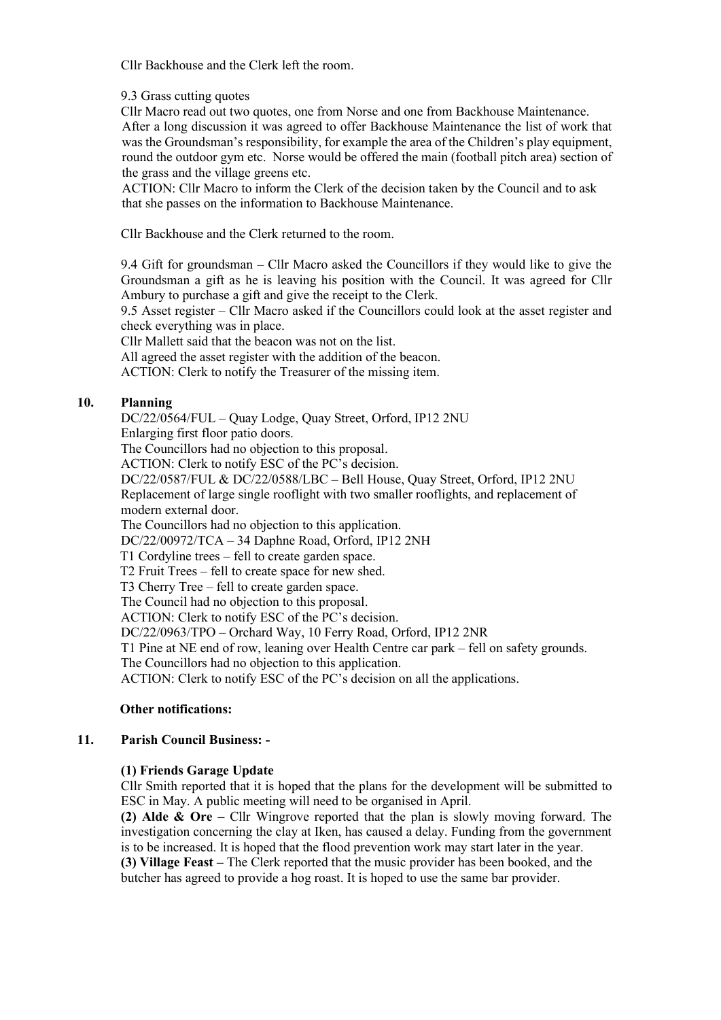Cllr Backhouse and the Clerk left the room.

9.3 Grass cutting quotes

Cllr Macro read out two quotes, one from Norse and one from Backhouse Maintenance. After a long discussion it was agreed to offer Backhouse Maintenance the list of work that was the Groundsman's responsibility, for example the area of the Children's play equipment, round the outdoor gym etc. Norse would be offered the main (football pitch area) section of the grass and the village greens etc.

ACTION: Cllr Macro to inform the Clerk of the decision taken by the Council and to ask that she passes on the information to Backhouse Maintenance.

Cllr Backhouse and the Clerk returned to the room.

9.4 Gift for groundsman – Cllr Macro asked the Councillors if they would like to give the Groundsman a gift as he is leaving his position with the Council. It was agreed for Cllr Ambury to purchase a gift and give the receipt to the Clerk.

9.5 Asset register – Cllr Macro asked if the Councillors could look at the asset register and check everything was in place.

Cllr Mallett said that the beacon was not on the list.

All agreed the asset register with the addition of the beacon.

ACTION: Clerk to notify the Treasurer of the missing item.

# **10. Planning**

DC/22/0564/FUL – Quay Lodge, Quay Street, Orford, IP12 2NU Enlarging first floor patio doors. The Councillors had no objection to this proposal. ACTION: Clerk to notify ESC of the PC's decision. DC/22/0587/FUL & DC/22/0588/LBC – Bell House, Quay Street, Orford, IP12 2NU Replacement of large single rooflight with two smaller rooflights, and replacement of modern external door. The Councillors had no objection to this application. DC/22/00972/TCA – 34 Daphne Road, Orford, IP12 2NH T1 Cordyline trees – fell to create garden space. T2 Fruit Trees – fell to create space for new shed. T3 Cherry Tree – fell to create garden space. The Council had no objection to this proposal. ACTION: Clerk to notify ESC of the PC's decision. DC/22/0963/TPO – Orchard Way, 10 Ferry Road, Orford, IP12 2NR T1 Pine at NE end of row, leaning over Health Centre car park – fell on safety grounds. The Councillors had no objection to this application.

ACTION: Clerk to notify ESC of the PC's decision on all the applications.

# **Other notifications:**

# **11. Parish Council Business: -**

# **(1) Friends Garage Update**

Cllr Smith reported that it is hoped that the plans for the development will be submitted to ESC in May. A public meeting will need to be organised in April.

**(2) Alde & Ore –** Cllr Wingrove reported that the plan is slowly moving forward. The investigation concerning the clay at Iken, has caused a delay. Funding from the government is to be increased. It is hoped that the flood prevention work may start later in the year. **(3) Village Feast –** The Clerk reported that the music provider has been booked, and the butcher has agreed to provide a hog roast. It is hoped to use the same bar provider.